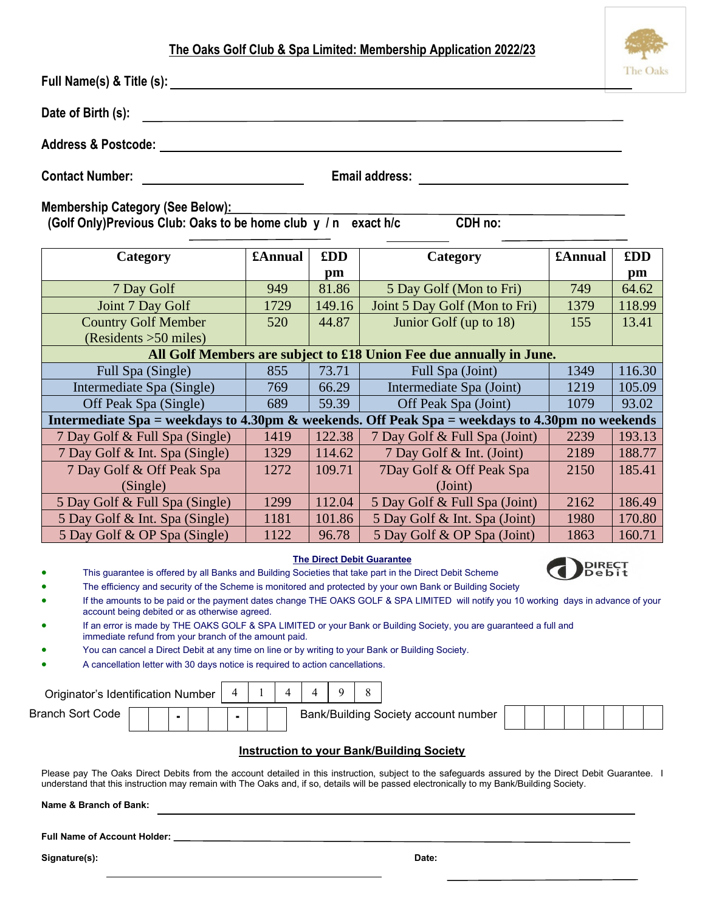## **The Oaks Golf Club & Spa Limited: Membership Application 2022/23**

**Full Name(s) & Title (s):** 

| Date of Birth (s): |  |
|--------------------|--|
|                    |  |

**Address & Postcode:** 

**Contact Number: Email address:** 

**Membership Category (See Below):**

 **(Golf Only)Previous Club: Oaks to be home club y / n exact h/c CDH no:** 

| Category                                                            | £Annual                                                                                         | £DD    | Category                      | £Annual | £DD    |  |  |  |  |  |  |  |  |  |
|---------------------------------------------------------------------|-------------------------------------------------------------------------------------------------|--------|-------------------------------|---------|--------|--|--|--|--|--|--|--|--|--|
|                                                                     |                                                                                                 | pm     |                               |         | pm     |  |  |  |  |  |  |  |  |  |
| 7 Day Golf                                                          | 949                                                                                             | 81.86  | 5 Day Golf (Mon to Fri)       | 749     | 64.62  |  |  |  |  |  |  |  |  |  |
| Joint 7 Day Golf                                                    | 1729                                                                                            | 149.16 | Joint 5 Day Golf (Mon to Fri) | 1379    | 118.99 |  |  |  |  |  |  |  |  |  |
| <b>Country Golf Member</b>                                          | 520                                                                                             | 44.87  | Junior Golf (up to 18)        | 155     | 13.41  |  |  |  |  |  |  |  |  |  |
| (Residents > 50 miles)                                              |                                                                                                 |        |                               |         |        |  |  |  |  |  |  |  |  |  |
| All Golf Members are subject to £18 Union Fee due annually in June. |                                                                                                 |        |                               |         |        |  |  |  |  |  |  |  |  |  |
| Full Spa (Single)                                                   | 855                                                                                             | 73.71  | Full Spa (Joint)              | 1349    | 116.30 |  |  |  |  |  |  |  |  |  |
| Intermediate Spa (Single)                                           | 769                                                                                             | 66.29  | Intermediate Spa (Joint)      | 1219    | 105.09 |  |  |  |  |  |  |  |  |  |
| Off Peak Spa (Single)                                               | 689                                                                                             | 59.39  | Off Peak Spa (Joint)          | 1079    | 93.02  |  |  |  |  |  |  |  |  |  |
|                                                                     | Intermediate Spa = weekdays to 4.30pm & weekends. Off Peak Spa = weekdays to 4.30pm no weekends |        |                               |         |        |  |  |  |  |  |  |  |  |  |
| 7 Day Golf & Full Spa (Single)                                      | 1419                                                                                            | 122.38 | 7 Day Golf & Full Spa (Joint) | 2239    | 193.13 |  |  |  |  |  |  |  |  |  |
| 7 Day Golf & Int. Spa (Single)                                      | 1329                                                                                            | 114.62 | 7 Day Golf & Int. (Joint)     | 2189    | 188.77 |  |  |  |  |  |  |  |  |  |
| 7 Day Golf & Off Peak Spa                                           | 1272                                                                                            | 109.71 | 7Day Golf & Off Peak Spa      | 2150    | 185.41 |  |  |  |  |  |  |  |  |  |
| (Single)                                                            |                                                                                                 |        | (Joint)                       |         |        |  |  |  |  |  |  |  |  |  |
| 5 Day Golf & Full Spa (Single)                                      | 1299                                                                                            | 112.04 | 5 Day Golf & Full Spa (Joint) | 2162    | 186.49 |  |  |  |  |  |  |  |  |  |
| 5 Day Golf & Int. Spa (Single)                                      | 1181                                                                                            | 101.86 | 5 Day Golf & Int. Spa (Joint) | 1980    | 170.80 |  |  |  |  |  |  |  |  |  |
| 5 Day Golf & OP Spa (Single)                                        | 1122                                                                                            | 96.78  | 5 Day Golf & OP Spa (Joint)   | 1863    | 160.71 |  |  |  |  |  |  |  |  |  |

## **The Direct Debit Guarantee**

- This guarantee is offered by all Banks and Building Societies that take part in the Direct Debit Scheme
- The efficiency and security of the Scheme is monitored and protected by your own Bank or Building Society
- If the amounts to be paid or the payment dates change THE OAKS GOLF & SPA LIMITED will notify you 10 working days in advance of your account being debited or as otherwise agreed.
- If an error is made by THE OAKS GOLF & SPA LIMITED or your Bank or Building Society, you are guaranteed a full and immediate refund from your branch of the amount paid.

 $\overline{1}$   $\overline{1}$   $\overline{1}$   $\overline{1}$   $\overline{1}$   $\overline{1}$   $\overline{1}$   $\overline{1}$   $\overline{1}$   $\overline{1}$   $\overline{1}$   $\overline{1}$   $\overline{1}$   $\overline{1}$   $\overline{1}$   $\overline{1}$   $\overline{1}$   $\overline{1}$   $\overline{1}$   $\overline{1}$   $\overline{1}$   $\overline{1}$   $\overline{1}$   $\overline{1}$   $\overline{$ 

- You can cancel a Direct Debit at any time on line or by writing to your Bank or Building Society.
- A cancellation letter with 30 days notice is required to action cancellations.

 $\blacksquare$ 

| Originator's Identification Number |  |  |  |  |  |  |  |                                      |  |  |  |  |
|------------------------------------|--|--|--|--|--|--|--|--------------------------------------|--|--|--|--|
| <b>Branch Sort Code</b>            |  |  |  |  |  |  |  | Bank/Building Society account number |  |  |  |  |

 $\overline{\phantom{a}}$ 

## **Instruction to your Bank/Building Society**

Please pay The Oaks Direct Debits from the account detailed in this instruction, subject to the safeguards assured by the Direct Debit Guarantee. I understand that this instruction may remain with The Oaks and, if so, details will be passed electronically to my Bank/Building Society.

**Name & Branch of Bank:** 

**Full Name of Account Holder:**

**Signature(s): Date:**